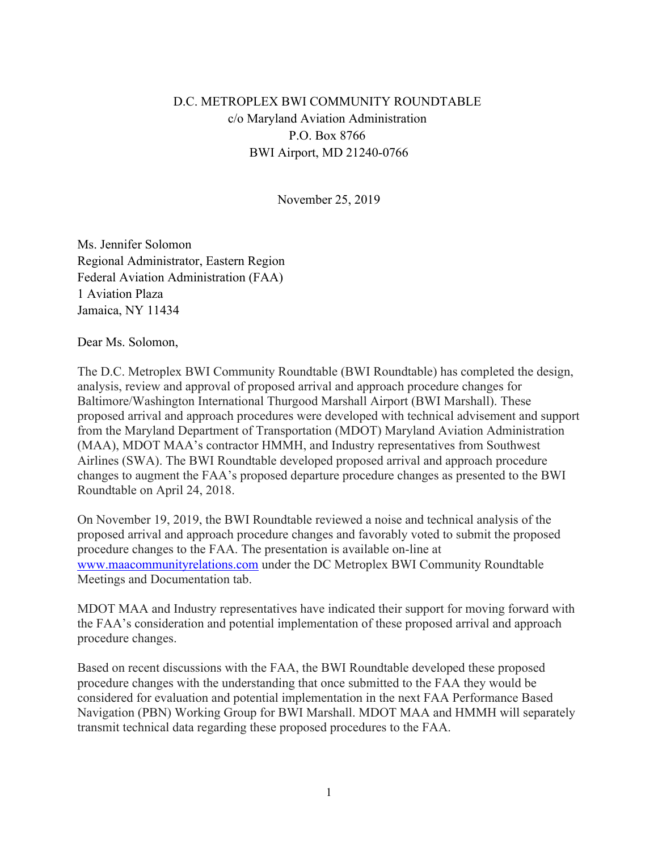## D.C. METROPLEX BWI COMMUNITY ROUNDTABLE c/o Maryland Aviation Administration P.O. Box 8766 BWI Airport, MD 21240-0766

November 25, 2019

Ms. Jennifer Solomon Regional Administrator, Eastern Region Federal Aviation Administration (FAA) 1 Aviation Plaza Jamaica, NY 11434

Dear Ms. Solomon,

The D.C. Metroplex BWI Community Roundtable (BWI Roundtable) has completed the design, analysis, review and approval of proposed arrival and approach procedure changes for Baltimore/Washington International Thurgood Marshall Airport (BWI Marshall). These proposed arrival and approach procedures were developed with technical advisement and support from the Maryland Department of Transportation (MDOT) Maryland Aviation Administration (MAA), MDOT MAA's contractor HMMH, and Industry representatives from Southwest Airlines (SWA). The BWI Roundtable developed proposed arrival and approach procedure changes to augment the FAA's proposed departure procedure changes as presented to the BWI Roundtable on April 24, 2018.

On November 19, 2019, the BWI Roundtable reviewed a noise and technical analysis of the proposed arrival and approach procedure changes and favorably voted to submit the proposed procedure changes to the FAA. The presentation is available on-line at [www.maacommunityrelations.com](http://www.maacommunityrelations.com) under the DC Metroplex BWI Community Roundtable Meetings and Documentation tab.

MDOT MAA and Industry representatives have indicated their support for moving forward with the FAA's consideration and potential implementation of these proposed arrival and approach procedure changes.

Based on recent discussions with the FAA, the BWI Roundtable developed these proposed procedure changes with the understanding that once submitted to the FAA they would be considered for evaluation and potential implementation in the next FAA Performance Based Navigation (PBN) Working Group for BWI Marshall. MDOT MAA and HMMH will separately transmit technical data regarding these proposed procedures to the FAA.